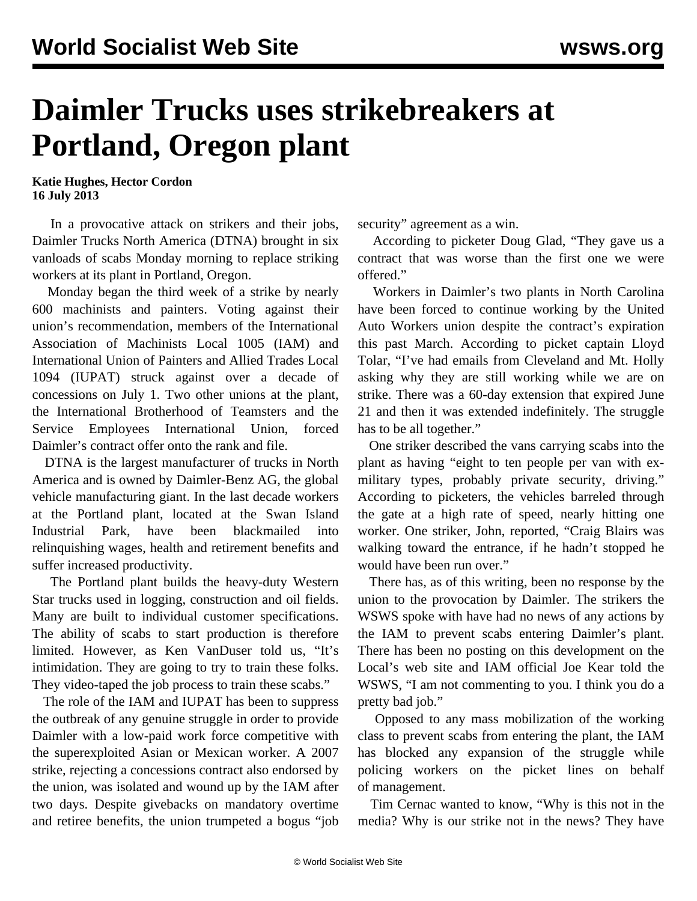## **Daimler Trucks uses strikebreakers at Portland, Oregon plant**

**Katie Hughes, Hector Cordon 16 July 2013**

 In a provocative attack on strikers and their jobs, Daimler Trucks North America (DTNA) brought in six vanloads of scabs Monday morning to replace striking workers at its plant in Portland, Oregon.

 Monday began the third week of a strike by nearly 600 machinists and painters. Voting against their union's recommendation, members of the International Association of Machinists Local 1005 (IAM) and International Union of Painters and Allied Trades Local 1094 (IUPAT) struck against over a decade of concessions on July 1. Two other unions at the plant, the International Brotherhood of Teamsters and the Service Employees International Union, forced Daimler's contract offer onto the rank and file.

 DTNA is the largest manufacturer of trucks in North America and is owned by Daimler-Benz AG, the global vehicle manufacturing giant. In the last decade workers at the Portland plant, located at the Swan Island Industrial Park, have been blackmailed into relinquishing wages, health and retirement benefits and suffer increased productivity.

 The Portland plant builds the heavy-duty Western Star trucks used in logging, construction and oil fields. Many are built to individual customer specifications. The ability of scabs to start production is therefore limited. However, as Ken VanDuser told us, "It's intimidation. They are going to try to train these folks. They video-taped the job process to train these scabs."

 The role of the IAM and IUPAT has been to suppress the outbreak of any genuine struggle in order to provide Daimler with a low-paid work force competitive with the superexploited Asian or Mexican worker. A 2007 strike, rejecting a concessions contract also endorsed by the union, was isolated and wound up by the IAM after two days. Despite givebacks on mandatory overtime and retiree benefits, the union trumpeted a bogus "job security" agreement as a win.

 According to picketer Doug Glad, "They gave us a contract that was worse than the first one we were offered."

 Workers in Daimler's two plants in North Carolina have been forced to continue working by the United Auto Workers union despite the contract's expiration this past March. According to picket captain Lloyd Tolar, "I've had emails from Cleveland and Mt. Holly asking why they are still working while we are on strike. There was a 60-day extension that expired June 21 and then it was extended indefinitely. The struggle has to be all together."

 One striker described the vans carrying scabs into the plant as having "eight to ten people per van with exmilitary types, probably private security, driving." According to picketers, the vehicles barreled through the gate at a high rate of speed, nearly hitting one worker. One striker, John, reported, "Craig Blairs was walking toward the entrance, if he hadn't stopped he would have been run over."

 There has, as of this writing, been no response by the union to the provocation by Daimler. The strikers the WSWS spoke with have had no news of any actions by the IAM to prevent scabs entering Daimler's plant. There has been no posting on this development on the Local's web site and IAM official Joe Kear told the WSWS, "I am not commenting to you. I think you do a pretty bad job."

 Opposed to any mass mobilization of the working class to prevent scabs from entering the plant, the IAM has blocked any expansion of the struggle while policing workers on the picket lines on behalf of management.

 Tim Cernac wanted to know, "Why is this not in the media? Why is our strike not in the news? They have